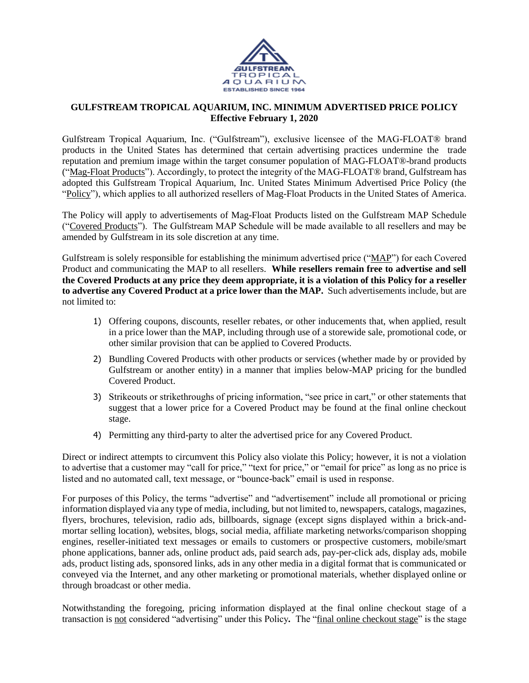

## **GULFSTREAM TROPICAL AQUARIUM, INC. MINIMUM ADVERTISED PRICE POLICY Effective February 1, 2020**

Gulfstream Tropical Aquarium, Inc. ("Gulfstream"), exclusive licensee of the MAG-FLOAT® brand products in the United States has determined that certain advertising practices undermine the trade reputation and premium image within the target consumer population of MAG-FLOAT®-brand products ("Mag-Float Products"). Accordingly, to protect the integrity of the MAG-FLOAT® brand, Gulfstream has adopted this Gulfstream Tropical Aquarium, Inc. United States Minimum Advertised Price Policy (the "Policy"), which applies to all authorized resellers of Mag-Float Products in the United States of America.

The Policy will apply to advertisements of Mag-Float Products listed on the Gulfstream MAP Schedule ("Covered Products"). The Gulfstream MAP Schedule will be made available to all resellers and may be amended by Gulfstream in its sole discretion at any time.

Gulfstream is solely responsible for establishing the minimum advertised price ("MAP") for each Covered Product and communicating the MAP to all resellers. **While resellers remain free to advertise and sell the Covered Products at any price they deem appropriate, it is a violation of this Policy for a reseller to advertise any Covered Product at a price lower than the MAP.** Such advertisements include, but are not limited to:

- 1) Offering coupons, discounts, reseller rebates, or other inducements that, when applied, result in a price lower than the MAP, including through use of a storewide sale, promotional code, or other similar provision that can be applied to Covered Products.
- 2) Bundling Covered Products with other products or services (whether made by or provided by Gulfstream or another entity) in a manner that implies below-MAP pricing for the bundled Covered Product.
- 3) Strikeouts or strikethroughs of pricing information, "see price in cart," or other statements that suggest that a lower price for a Covered Product may be found at the final online checkout stage.
- 4) Permitting any third-party to alter the advertised price for any Covered Product.

Direct or indirect attempts to circumvent this Policy also violate this Policy; however, it is not a violation to advertise that a customer may "call for price," "text for price," or "email for price" as long as no price is listed and no automated call, text message, or "bounce-back" email is used in response.

For purposes of this Policy, the terms "advertise" and "advertisement" include all promotional or pricing information displayed via any type of media, including, but not limited to, newspapers, catalogs, magazines, flyers, brochures, television, radio ads, billboards, signage (except signs displayed within a brick-andmortar selling location), websites, blogs, social media, affiliate marketing networks/comparison shopping engines, reseller-initiated text messages or emails to customers or prospective customers, mobile/smart phone applications, banner ads, online product ads, paid search ads, pay-per-click ads, display ads, mobile ads, product listing ads, sponsored links, ads in any other media in a digital format that is communicated or conveyed via the Internet, and any other marketing or promotional materials, whether displayed online or through broadcast or other media.

Notwithstanding the foregoing, pricing information displayed at the final online checkout stage of a transaction is not considered "advertising" under this Policy*.* The "final online checkout stage" is the stage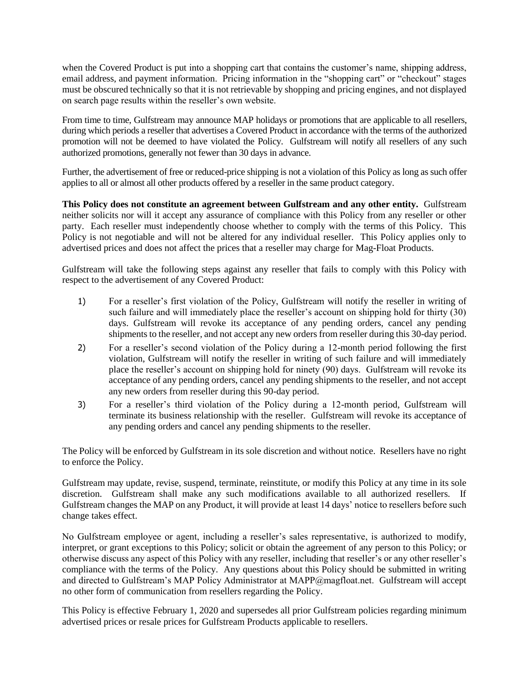when the Covered Product is put into a shopping cart that contains the customer's name, shipping address, email address, and payment information. Pricing information in the "shopping cart" or "checkout" stages must be obscured technically so that it is not retrievable by shopping and pricing engines, and not displayed on search page results within the reseller's own website.

From time to time, Gulfstream may announce MAP holidays or promotions that are applicable to all resellers, during which periods a reseller that advertises a Covered Product in accordance with the terms of the authorized promotion will not be deemed to have violated the Policy. Gulfstream will notify all resellers of any such authorized promotions, generally not fewer than 30 days in advance.

Further, the advertisement of free or reduced-price shipping is not a violation of this Policy as long as such offer applies to all or almost all other products offered by a reseller in the same product category.

**This Policy does not constitute an agreement between Gulfstream and any other entity.** Gulfstream neither solicits nor will it accept any assurance of compliance with this Policy from any reseller or other party. Each reseller must independently choose whether to comply with the terms of this Policy. This Policy is not negotiable and will not be altered for any individual reseller. This Policy applies only to advertised prices and does not affect the prices that a reseller may charge for Mag-Float Products.

Gulfstream will take the following steps against any reseller that fails to comply with this Policy with respect to the advertisement of any Covered Product:

- 1) For a reseller's first violation of the Policy, Gulfstream will notify the reseller in writing of such failure and will immediately place the reseller's account on shipping hold for thirty (30) days. Gulfstream will revoke its acceptance of any pending orders, cancel any pending shipments to the reseller, and not accept any new orders from reseller during this 30-day period.
- 2) For a reseller's second violation of the Policy during a 12-month period following the first violation, Gulfstream will notify the reseller in writing of such failure and will immediately place the reseller's account on shipping hold for ninety (90) days. Gulfstream will revoke its acceptance of any pending orders, cancel any pending shipments to the reseller, and not accept any new orders from reseller during this 90-day period.
- 3) For a reseller's third violation of the Policy during a 12-month period, Gulfstream will terminate its business relationship with the reseller. Gulfstream will revoke its acceptance of any pending orders and cancel any pending shipments to the reseller.

The Policy will be enforced by Gulfstream in its sole discretion and without notice. Resellers have no right to enforce the Policy.

Gulfstream may update, revise, suspend, terminate, reinstitute, or modify this Policy at any time in its sole discretion. Gulfstream shall make any such modifications available to all authorized resellers. If Gulfstream changes the MAP on any Product, it will provide at least 14 days' notice to resellers before such change takes effect.

No Gulfstream employee or agent, including a reseller's sales representative, is authorized to modify, interpret, or grant exceptions to this Policy; solicit or obtain the agreement of any person to this Policy; or otherwise discuss any aspect of this Policy with any reseller, including that reseller's or any other reseller's compliance with the terms of the Policy. Any questions about this Policy should be submitted in writing and directed to Gulfstream's MAP Policy Administrator at MAPP@magfloat.net. Gulfstream will accept no other form of communication from resellers regarding the Policy.

This Policy is effective February 1, 2020 and supersedes all prior Gulfstream policies regarding minimum advertised prices or resale prices for Gulfstream Products applicable to resellers.